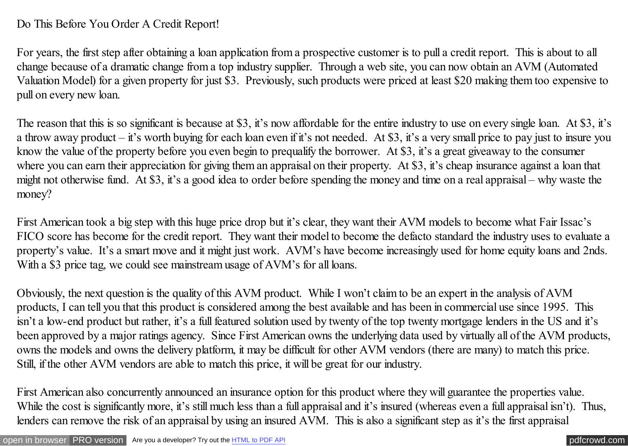## Do This Before You Order A Credit Report!

For years, the first step after obtaining a loan application from a prospective customer is to pull a credit report. This is about to all change because of a dramatic change from a top industry supplier. Through a web site, you can now obtain an AVM (Automated Valuation Model) for a given property for just \$3. Previously, such products were priced at least \$20 making them too expensive to pull on every new loan.

The reason that this is so significant is because at \$3, it's now affordable for the entire industry to use on every single loan. At \$3, it's a throw away product – it's worth buying for each loan even if it's not needed. At \$3, it's a very small price to pay just to insure you know the value of the property before you even begin to prequalify the borrower. At \$3, it's a great giveaway to the consumer where you can earn their appreciation for giving them an appraisal on their property. At \$3, it's cheap insurance against a loan that might not otherwise fund. At \$3, it's a good idea to order before spending the money and time on a real appraisal – why waste the money?

First American took a big step with this huge price drop but it's clear, they want their AVM models to become what Fair Issac's FICO score has become for the credit report. They want their model to become the defacto standard the industry uses to evaluate a property's value. It's a smart move and it might just work. AVM's have become increasingly used for home equity loans and 2nds. With a \$3 price tag, we could see mainstream usage of AVM's for all loans.

Obviously, the next question is the quality of this AVM product. While I won't claim to be an expert in the analysis of AVM products, I can tell you that this product is considered among the best available and has been in commercial use since 1995. This isn't a low-end product but rather, it's a full featured solution used by twenty of the top twenty mortgage lenders in the US and it's been approved by a major ratings agency. Since First American owns the underlying data used by virtually all of the AVM products, owns the models and owns the delivery platform, it may be difficult for other AVM vendors (there are many) to match this price. Still, if the other AVM vendors are able to match this price, it will be great for our industry.

First American also concurrently announced an insurance option for this product where they will guarantee the properties value. While the cost is significantly more, it's still much less than a full appraisal and it's insured (whereas even a full appraisal isn't). Thus, lenders can remove the risk of an appraisal by using an insured AVM. This is also a significant step as it's the first appraisal